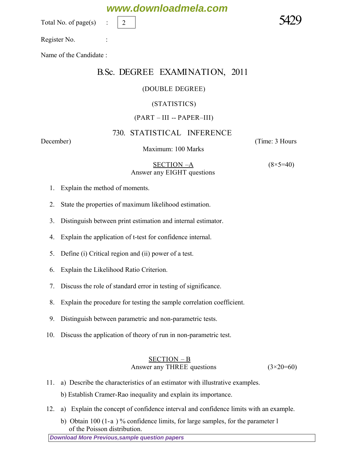Total No. of page $(s)$ 

Name of the Candidate :

### B.Sc. DEGREE EXAMINATION, 2011

#### (DOUBLE DEGREE)

#### (STATISTICS)

#### (PART – III -- PAPER–III)

#### 730. STATISTICAL INFERENCE

Maximum: 100 Marks

*December*) (*Time: 3 Hours*

 SECTION –A *(8×5=40) Answer any EIGHT questions*

- 1. Explain the method of moments.
- 2. State the properties of maximum likelihood estimation.
- 3. Distinguish between print estimation and internal estimator.
- 4. Explain the application of t-test for confidence internal.
- 5. Define (i) Critical region and (ii) power of a test.
- 6. Explain the Likelihood Ratio Criterion.
- 7. Discuss the role of standard error in testing of significance.
- 8. Explain the procedure for testing the sample correlation coefficient.
- 9. Distinguish between parametric and non-parametric tests.
- 10. Discuss the application of theory of run in non-parametric test.

#### SECTION – B *Answer any THREE questions (3×20=60)*

11. a) Describe the characteristics of an estimator with illustrative examples.

b) Establish Cramer-Rao inequality and explain its importance.

- 12. a) Explain the concept of confidence interval and confidence limits with an example.
	- b) Obtain 100 (1-a) % confidence limits, for large samples, for the parameter 1 of the Poisson distribution.

**[Download More Previous,sample question papers](http://downloadmela.com/pages/previouspapers/previouspapers.html)**

## **www.downloadmela.com**



2

Register No. :